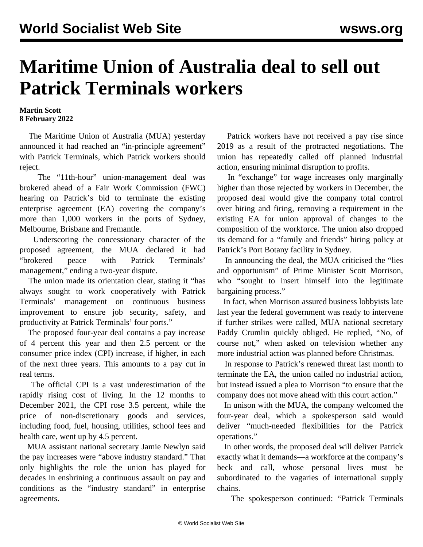## **Maritime Union of Australia deal to sell out Patrick Terminals workers**

## **Martin Scott 8 February 2022**

 The Maritime Union of Australia (MUA) yesterday announced it had reached an "in-principle agreement" with Patrick Terminals, which Patrick workers should reject.

 The "11th-hour" union-management deal was brokered ahead of a Fair Work Commission (FWC) hearing on Patrick's bid to terminate the existing enterprise agreement (EA) covering the company's more than 1,000 workers in the ports of Sydney, Melbourne, Brisbane and Fremantle.

 Underscoring the concessionary character of the proposed agreement, the MUA declared it had "brokered peace with Patrick Terminals' management," ending a two-year dispute.

 The union made its orientation clear, stating it "has always sought to work cooperatively with Patrick Terminals' management on continuous business improvement to ensure job security, safety, and productivity at Patrick Terminals' four ports."

 The proposed four-year deal contains a pay increase of 4 percent this year and then 2.5 percent or the consumer price index (CPI) increase, if higher, in each of the next three years. This amounts to a pay cut in real terms.

 The official CPI is a vast underestimation of the rapidly rising cost of living. In the 12 months to December 2021, the CPI rose 3.5 percent, while the price of non-discretionary goods and services, including food, fuel, housing, utilities, school fees and health care, went up by 4.5 percent.

 MUA assistant national secretary Jamie Newlyn said the pay increases were "above industry standard." That only highlights the role the union has played for decades in enshrining a continuous assault on pay and conditions as the "industry standard" in enterprise agreements.

 Patrick workers have not received a pay rise since 2019 as a result of the protracted negotiations. The union has repeatedly called off planned industrial action, ensuring minimal disruption to profits.

 In "exchange" for wage increases only marginally higher than those rejected by workers in December, the proposed deal would give the company total control over hiring and firing, removing a requirement in the existing EA for union approval of changes to the composition of the workforce. The union also dropped its demand for a "family and friends" hiring policy at Patrick's Port Botany facility in Sydney.

 In announcing the deal, the MUA criticised the "lies and opportunism" of Prime Minister Scott Morrison, who "sought to insert himself into the legitimate bargaining process."

 In fact, when Morrison assured business lobbyists late last year the federal government was ready to intervene if further strikes were called, MUA national secretary Paddy Crumlin quickly obliged. He replied, "No, of course not," when asked on television whether any more industrial action was planned before Christmas.

 In response to Patrick's renewed threat last month to terminate the EA, the union called no industrial action, but instead issued a plea to Morrison "to ensure that the company does not move ahead with this court action."

 In unison with the MUA, the company welcomed the four-year deal, which a spokesperson said would deliver "much-needed flexibilities for the Patrick operations."

 In other words, the proposed deal will deliver Patrick exactly what it demands—a workforce at the company's beck and call, whose personal lives must be subordinated to the vagaries of international supply chains.

The spokesperson continued: "Patrick Terminals